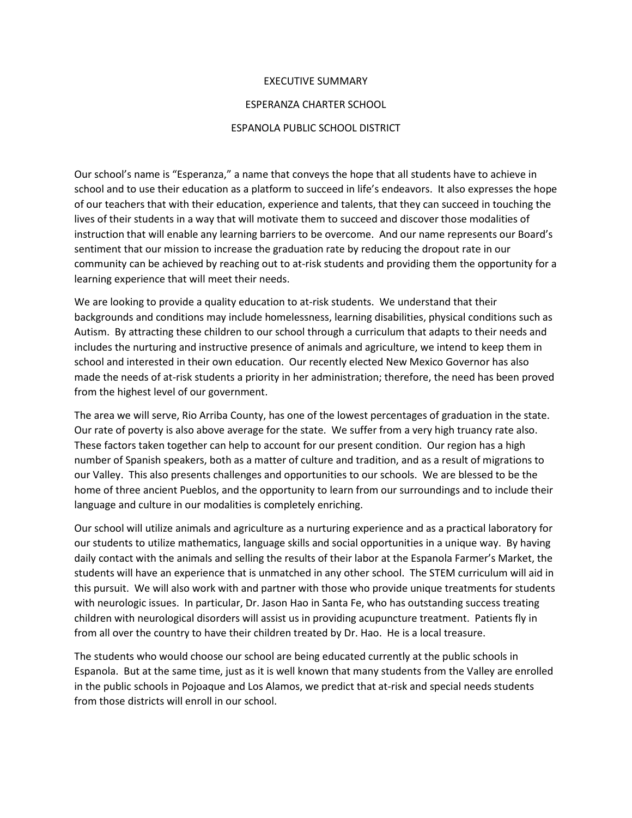## EXECUTIVE SUMMARY

## ESPERANZA CHARTER SCHOOL

## ESPANOLA PUBLIC SCHOOL DISTRICT

Our school's name is "Esperanza," a name that conveys the hope that all students have to achieve in school and to use their education as a platform to succeed in life's endeavors. It also expresses the hope of our teachers that with their education, experience and talents, that they can succeed in touching the lives of their students in a way that will motivate them to succeed and discover those modalities of instruction that will enable any learning barriers to be overcome. And our name represents our Board's sentiment that our mission to increase the graduation rate by reducing the dropout rate in our community can be achieved by reaching out to at-risk students and providing them the opportunity for a learning experience that will meet their needs.

We are looking to provide a quality education to at-risk students. We understand that their backgrounds and conditions may include homelessness, learning disabilities, physical conditions such as Autism. By attracting these children to our school through a curriculum that adapts to their needs and includes the nurturing and instructive presence of animals and agriculture, we intend to keep them in school and interested in their own education. Our recently elected New Mexico Governor has also made the needs of at-risk students a priority in her administration; therefore, the need has been proved from the highest level of our government.

The area we will serve, Rio Arriba County, has one of the lowest percentages of graduation in the state. Our rate of poverty is also above average for the state. We suffer from a very high truancy rate also. These factors taken together can help to account for our present condition. Our region has a high number of Spanish speakers, both as a matter of culture and tradition, and as a result of migrations to our Valley. This also presents challenges and opportunities to our schools. We are blessed to be the home of three ancient Pueblos, and the opportunity to learn from our surroundings and to include their language and culture in our modalities is completely enriching.

Our school will utilize animals and agriculture as a nurturing experience and as a practical laboratory for our students to utilize mathematics, language skills and social opportunities in a unique way. By having daily contact with the animals and selling the results of their labor at the Espanola Farmer's Market, the students will have an experience that is unmatched in any other school. The STEM curriculum will aid in this pursuit. We will also work with and partner with those who provide unique treatments for students with neurologic issues. In particular, Dr. Jason Hao in Santa Fe, who has outstanding success treating children with neurological disorders will assist us in providing acupuncture treatment. Patients fly in from all over the country to have their children treated by Dr. Hao. He is a local treasure.

The students who would choose our school are being educated currently at the public schools in Espanola. But at the same time, just as it is well known that many students from the Valley are enrolled in the public schools in Pojoaque and Los Alamos, we predict that at-risk and special needs students from those districts will enroll in our school.